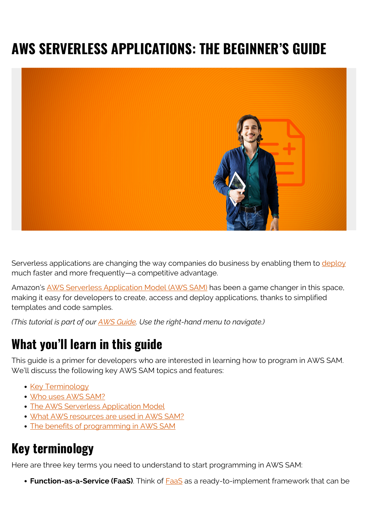# **AWS SERVERLESS APPLICATIONS: THE BEGINNER'S GUIDE**



Serverless applications are changing the way companies do business by enabling them to [deploy](https://blogs.bmc.com/blogs/software-deployment-vs-release/) much faster and more frequently—a competitive advantage.

Amazon's [AWS Serverless Application Model \(AWS SAM\)](https://aws.amazon.com/serverless/sam/) has been a game changer in this space, making it easy for developers to create, access and deploy applications, thanks to simplified templates and code samples.

*(This tutorial is part of our [AWS Guide](https://blogs.bmc.com/blogs/aws-serverless-applications/). Use the right-hand menu to navigate.)*

### **What you'll learn in this guide**

This guide is a primer for developers who are interested in learning how to program in AWS SAM. We'll discuss the following key AWS SAM topics and features:

- [Key Terminology](#page--1-0)
- [Who uses AWS SAM?](#page--1-0)
- [The AWS Serverless Application Model](#page--1-0)
- [What AWS resources are used in AWS SAM?](#page--1-0)
- [The benefits of programming in AWS SAM](#page--1-0)

#### **Key terminology**

Here are three key terms you need to understand to start programming in AWS SAM:

**Function-as-a-Service (FaaS)**. Think of **FaaS** as a ready-to-implement framework that can be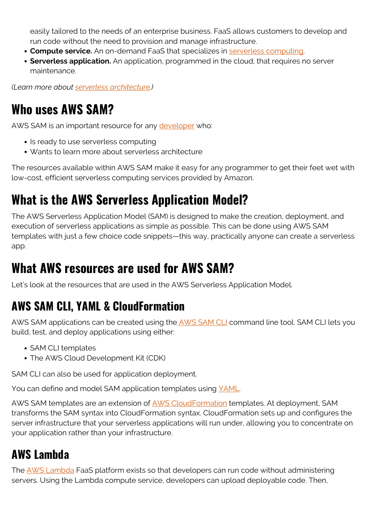easily tailored to the needs of an enterprise business. FaaS allows customers to develop and run code without the need to provision and manage infrastructure.

- **Compute service.** An on-demand FaaS that specializes in [serverless computing.](https://blogs.bmc.com/blogs/serverless-computing/)
- **Serverless application.** An application, programmed in the cloud, that requires no server maintenance.

*(Learn more about [serverless architecture.](https://blogs.bmc.com/blogs/serverless-architecture/))*

### **Who uses AWS SAM?**

AWS SAM is an important resource for any [developer](https://blogs.bmc.com/blogs/application-developer-roles-responsibilities/) who:

- Is ready to use serverless computing
- Wants to learn more about serverless architecture

The resources available within AWS SAM make it easy for any programmer to get their feet wet with low-cost, efficient serverless computing services provided by Amazon.

# **What is the AWS Serverless Application Model?**

The AWS Serverless Application Model (SAM) is designed to make the creation, deployment, and execution of serverless applications as simple as possible. This can be done using AWS SAM templates with just a few choice code snippets—this way, practically anyone can create a serverless app.

### **What AWS resources are used for AWS SAM?**

Let's look at the resources that are used in the AWS Serverless Application Model.

#### **AWS SAM CLI, YAML & CloudFormation**

AWS SAM applications can be created using the [AWS SAM CLI](https://docs.aws.amazon.com/serverless-application-model/latest/developerguide/serverless-sam-reference.html#serverless-sam-cli) command line tool. SAM CLI lets you build, test, and deploy applications using either:

- SAM CLI templates
- The AWS Cloud Development Kit (CDK)

SAM CLI can also be used for application deployment.

You can define and model SAM application templates using [YAML](https://en.wikipedia.org/wiki/YAML).

AWS SAM templates are an extension of **AWS CloudFormation** templates. At deployment, SAM transforms the SAM syntax into CloudFormation syntax. CloudFormation sets up and configures the server infrastructure that your serverless applications will run under, allowing you to concentrate on your application rather than your infrastructure.

#### **AWS Lambda**

The [AWS Lambda](https://blogs.bmc.com/blogs/aws-lambda/) FaaS platform exists so that developers can run code without administering servers. Using the Lambda compute service, developers can upload deployable code. Then,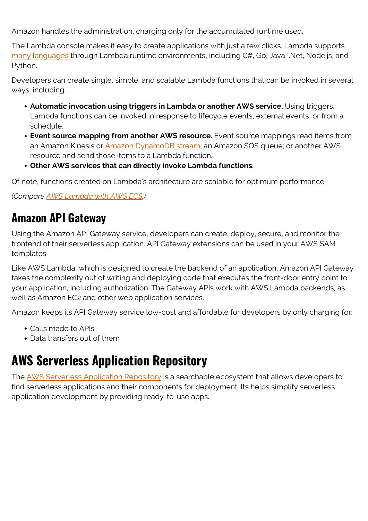Amazon handles the administration, charging only for the accumulated runtime used.

The Lambda console makes it easy to create applications with just a few clicks. Lambda supports [many languages](https://blogs.bmc.com/blogs/programming-languages/) through Lambda runtime environments, including C#, Go, Java, .Net, Node.js, and Python.

Developers can create single, simple, and scalable Lambda functions that can be invoked in several ways, including:

- **Automatic invocation using triggers in Lambda or another AWS service.** Using triggers, Lambda functions can be invoked in response to lifecycle events, external events, or from a schedule.
- **Event source mapping from another AWS resource.** Event source mappings read items from an Amazon Kinesis or [Amazon DynamoDB stream](https://blogs.bmc.com/blogs/amazon-dynamodb/); an Amazon SQS queue; or another AWS resource and send those items to a Lambda function.
- **Other AWS services that can directly invoke Lambda functions.**

Of note, functions created on Lambda's architecture are scalable for optimum performance.

*(Compare [AWS Lambda with AWS ECS](https://blogs.bmc.com/blogs/aws-ecs-vs-aws-lambda/).)*

#### **Amazon API Gateway**

Using the Amazon API Gateway service, developers can create, deploy, secure, and monitor the frontend of their serverless application. API Gateway extensions can be used in your AWS SAM templates.

Like AWS Lambda, which is designed to create the backend of an application, Amazon API Gateway takes the complexity out of writing and deploying code that executes the front-door entry point to your application, including authorization. The Gateway APIs work with AWS Lambda backends, as well as Amazon EC2 and other web application services.

Amazon keeps its API Gateway service low-cost and affordable for developers by only charging for:

- Calls made to APIs
- Data transfers out of them

# **AWS Serverless Application Repository**

The [AWS Serverless Application Repository](https://docs.aws.amazon.com/serverlessrepo/latest/devguide/what-is-serverlessrepo.html) is a searchable ecosystem that allows developers to find serverless applications and their components for deployment. Its helps simplify serverless application development by providing ready-to-use apps.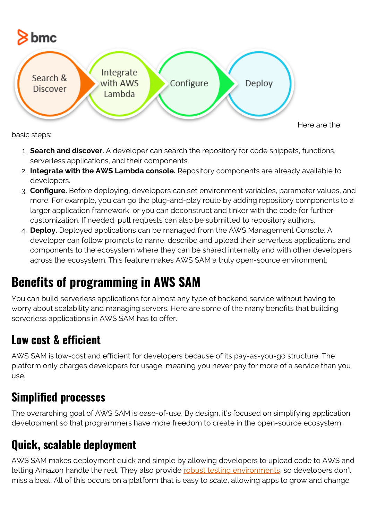

basic steps:

- 1. **Search and discover.** A developer can search the repository for code snippets, functions, serverless applications, and their components.
- 2. **Integrate with the AWS Lambda console.** Repository components are already available to developers.
- 3. **Configure.** Before deploying, developers can set environment variables, parameter values, and more. For example, you can go the plug-and-play route by adding repository components to a larger application framework, or you can deconstruct and tinker with the code for further customization. If needed, pull requests can also be submitted to repository authors.
- 4. **Deploy.** Deployed applications can be managed from the AWS Management Console. A developer can follow prompts to name, describe and upload their serverless applications and components to the ecosystem where they can be shared internally and with other developers across the ecosystem. This feature makes AWS SAM a truly open-source environment.

# **Benefits of programming in AWS SAM**

You can build serverless applications for almost any type of backend service without having to worry about scalability and managing servers. Here are some of the many benefits that building serverless applications in AWS SAM has to offer.

### **Low cost & efficient**

AWS SAM is low-cost and efficient for developers because of its pay-as-you-go structure. The platform only charges developers for usage, meaning you never pay for more of a service than you use.

### **Simplified processes**

The overarching goal of AWS SAM is ease-of-use. By design, it's focused on simplifying application development so that programmers have more freedom to create in the open-source ecosystem.

### **Quick, scalable deployment**

AWS SAM makes deployment quick and simple by allowing developers to upload code to AWS and letting Amazon handle the rest. They also provide [robust testing environments](https://blogs.bmc.com/blogs/devops-testing/), so developers don't miss a beat. All of this occurs on a platform that is easy to scale, allowing apps to grow and change